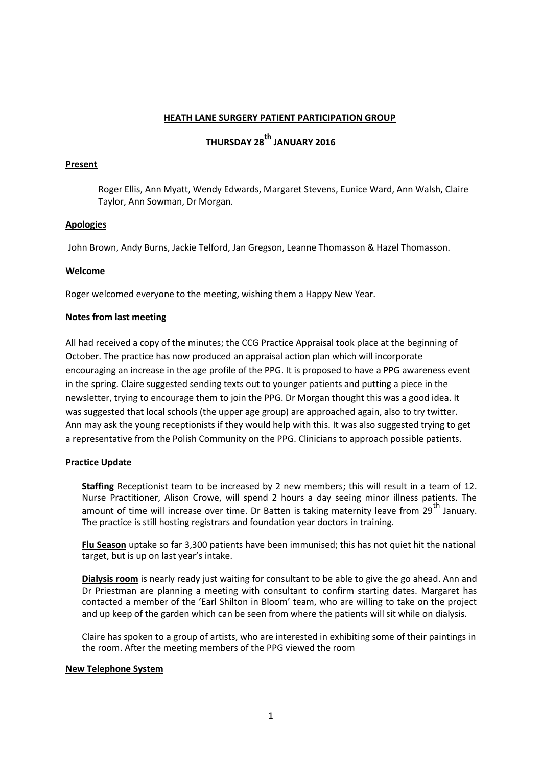#### **HEATH LANE SURGERY PATIENT PARTICIPATION GROUP**

# **THURSDAY 28th JANUARY 2016**

#### **Present**

Roger Ellis, Ann Myatt, Wendy Edwards, Margaret Stevens, Eunice Ward, Ann Walsh, Claire Taylor, Ann Sowman, Dr Morgan.

#### **Apologies**

John Brown, Andy Burns, Jackie Telford, Jan Gregson, Leanne Thomasson & Hazel Thomasson.

#### **Welcome**

Roger welcomed everyone to the meeting, wishing them a Happy New Year.

#### **Notes from last meeting**

All had received a copy of the minutes; the CCG Practice Appraisal took place at the beginning of October. The practice has now produced an appraisal action plan which will incorporate encouraging an increase in the age profile of the PPG. It is proposed to have a PPG awareness event in the spring. Claire suggested sending texts out to younger patients and putting a piece in the newsletter, trying to encourage them to join the PPG. Dr Morgan thought this was a good idea. It was suggested that local schools (the upper age group) are approached again, also to try twitter. Ann may ask the young receptionists if they would help with this. It was also suggested trying to get a representative from the Polish Community on the PPG. Clinicians to approach possible patients.

## **Practice Update**

**Staffing** Receptionist team to be increased by 2 new members; this will result in a team of 12. Nurse Practitioner, Alison Crowe, will spend 2 hours a day seeing minor illness patients. The amount of time will increase over time. Dr Batten is taking maternity leave from 29<sup>th</sup> January. The practice is still hosting registrars and foundation year doctors in training.

**Flu Season** uptake so far 3,300 patients have been immunised; this has not quiet hit the national target, but is up on last year's intake.

**Dialysis room** is nearly ready just waiting for consultant to be able to give the go ahead. Ann and Dr Priestman are planning a meeting with consultant to confirm starting dates. Margaret has contacted a member of the 'Earl Shilton in Bloom' team, who are willing to take on the project and up keep of the garden which can be seen from where the patients will sit while on dialysis.

Claire has spoken to a group of artists, who are interested in exhibiting some of their paintings in the room. After the meeting members of the PPG viewed the room

#### **New Telephone System**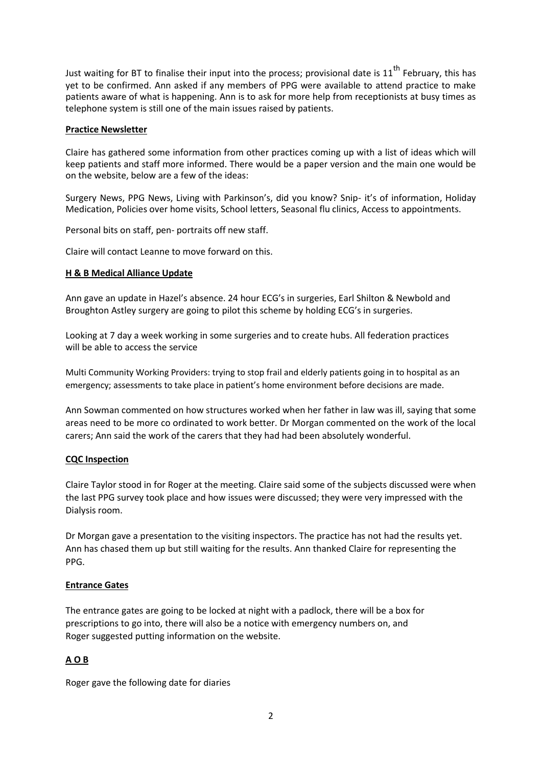Just waiting for BT to finalise their input into the process; provisional date is  $11<sup>th</sup>$  February, this has yet to be confirmed. Ann asked if any members of PPG were available to attend practice to make patients aware of what is happening. Ann is to ask for more help from receptionists at busy times as telephone system is still one of the main issues raised by patients.

#### **Practice Newsletter**

Claire has gathered some information from other practices coming up with a list of ideas which will keep patients and staff more informed. There would be a paper version and the main one would be on the website, below are a few of the ideas:

Surgery News, PPG News, Living with Parkinson's, did you know? Snip- it's of information, Holiday Medication, Policies over home visits, School letters, Seasonal flu clinics, Access to appointments.

Personal bits on staff, pen- portraits off new staff.

Claire will contact Leanne to move forward on this.

#### **H & B Medical Alliance Update**

Ann gave an update in Hazel's absence. 24 hour ECG's in surgeries, Earl Shilton & Newbold and Broughton Astley surgery are going to pilot this scheme by holding ECG's in surgeries.

Looking at 7 day a week working in some surgeries and to create hubs. All federation practices will be able to access the service

Multi Community Working Providers: trying to stop frail and elderly patients going in to hospital as an emergency; assessments to take place in patient's home environment before decisions are made.

Ann Sowman commented on how structures worked when her father in law was ill, saying that some areas need to be more co ordinated to work better. Dr Morgan commented on the work of the local carers; Ann said the work of the carers that they had had been absolutely wonderful.

#### **CQC Inspection**

Claire Taylor stood in for Roger at the meeting. Claire said some of the subjects discussed were when the last PPG survey took place and how issues were discussed; they were very impressed with the Dialysis room.

Dr Morgan gave a presentation to the visiting inspectors. The practice has not had the results yet. Ann has chased them up but still waiting for the results. Ann thanked Claire for representing the PPG.

## **Entrance Gates**

The entrance gates are going to be locked at night with a padlock, there will be a box for prescriptions to go into, there will also be a notice with emergency numbers on, and Roger suggested putting information on the website.

# **A O B**

Roger gave the following date for diaries